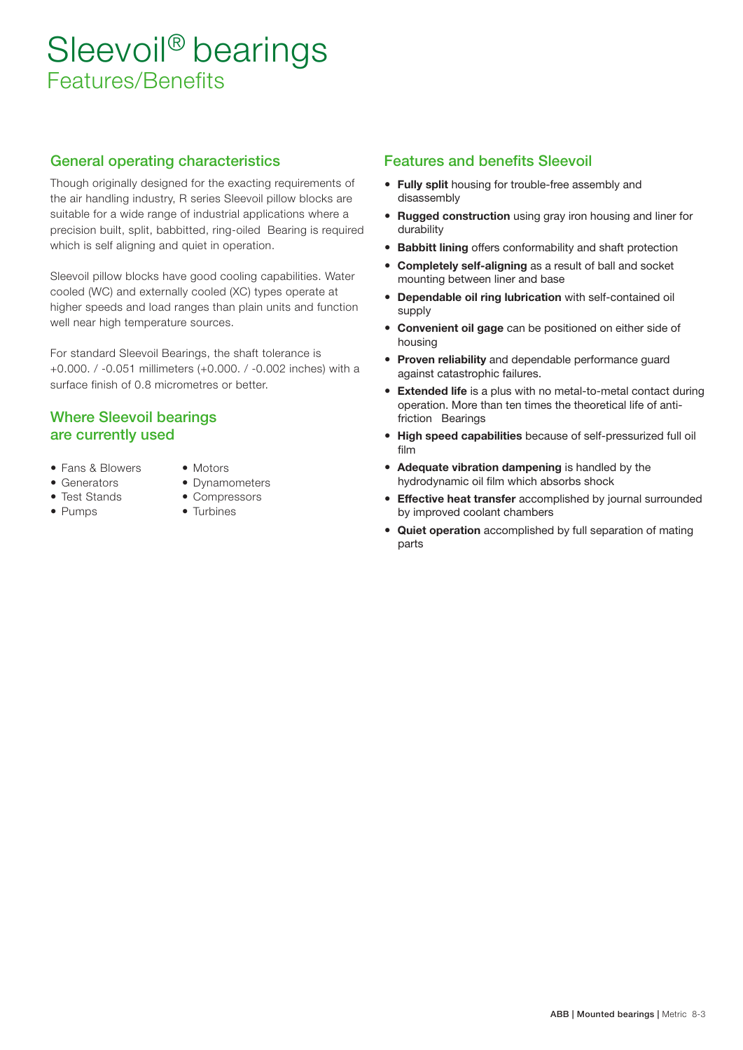# Sleevoil<sup>®</sup> bearings Features/Benefits

#### General operating characteristics

Though originally designed for the exacting requirements of the air handling industry, R series Sleevoil pillow blocks are suitable for a wide range of industrial applications where a precision built, split, babbitted, ring-oiled Bearing is required which is self aligning and quiet in operation.

Sleevoil pillow blocks have good cooling capabilities. Water cooled (WC) and externally cooled (XC) types operate at higher speeds and load ranges than plain units and function well near high temperature sources.

For standard Sleevoil Bearings, the shaft tolerance is +0.000 . / -0.051 millimeters (+0.000 . / -0.002 inches) with a surface finish of 0.8 micrometres or better.

#### Where Sleevoil bearings are currently used

- Fans & Blowers Motors
- 
- 
- 
- 
- Generators Dynamometers
- Test Stands Compressors
- Pumps Turbines

#### Features and benefits Sleevoil

- Fully split housing for trouble-free assembly and disassembly
- Rugged construction using gray iron housing and liner for durability
- **Babbitt lining** offers conformability and shaft protection
- Completely self-aligning as a result of ball and socket mounting between liner and base
- Dependable oil ring lubrication with self-contained oil supply
- Convenient oil gage can be positioned on either side of housing
- Proven reliability and dependable performance guard against catastrophic failures.
- **Extended life** is a plus with no metal-to-metal contact during operation. More than ten times the theoretical life of antifriction Bearings
- High speed capabilities because of self-pressurized full oil film
- Adequate vibration dampening is handled by the hydrodynamic oil film which absorbs shock
- **Effective heat transfer** accomplished by journal surrounded by improved coolant chambers
- **Quiet operation** accomplished by full separation of mating parts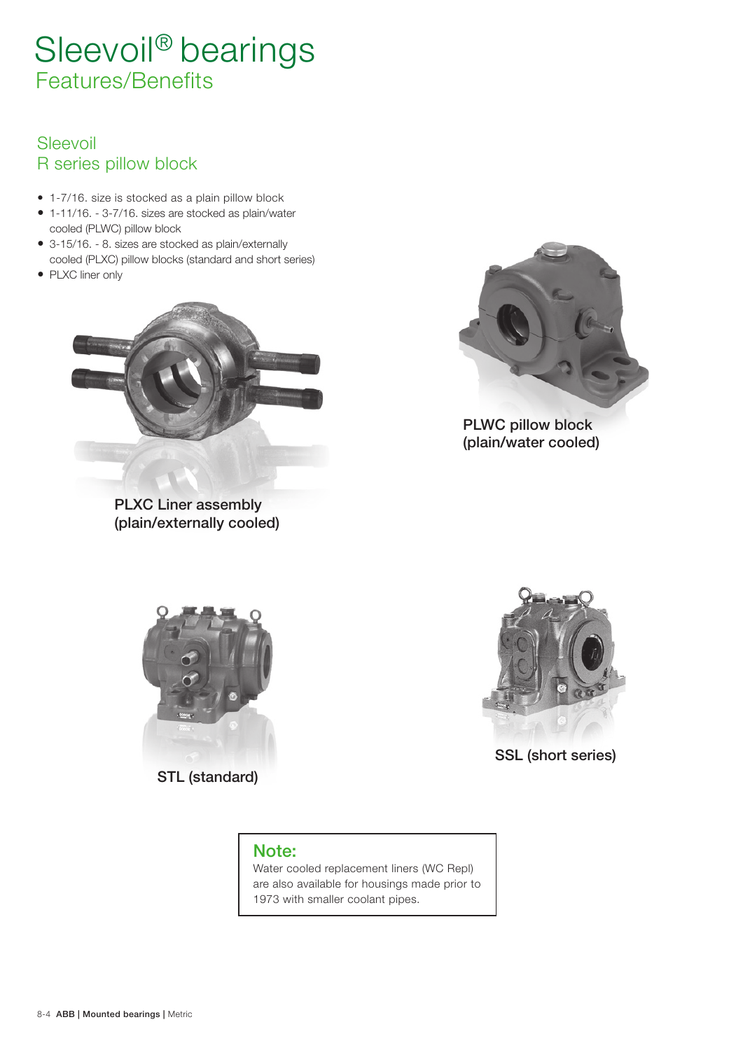# Sleevoil® bearings Features/Benefits

### Sleevoil R series pillow block

- 1-7/16 . size is stocked as a plain pillow block
- 1-11/16 . 3-7/16 . sizes are stocked as plain/water cooled (PLWC) pillow block
- 3-15/16. 8. sizes are stocked as plain/externally cooled (PLXC) pillow blocks (standard and short series)
- PLXC liner only



PLXC Liner assembly (plain/externally cooled)



(plain/water cooled)



STL (standard)

SSL (short series)

### Note:

Water cooled replacement liners (WC Repl) are also available for housings made prior to 1973 with smaller coolant pipes.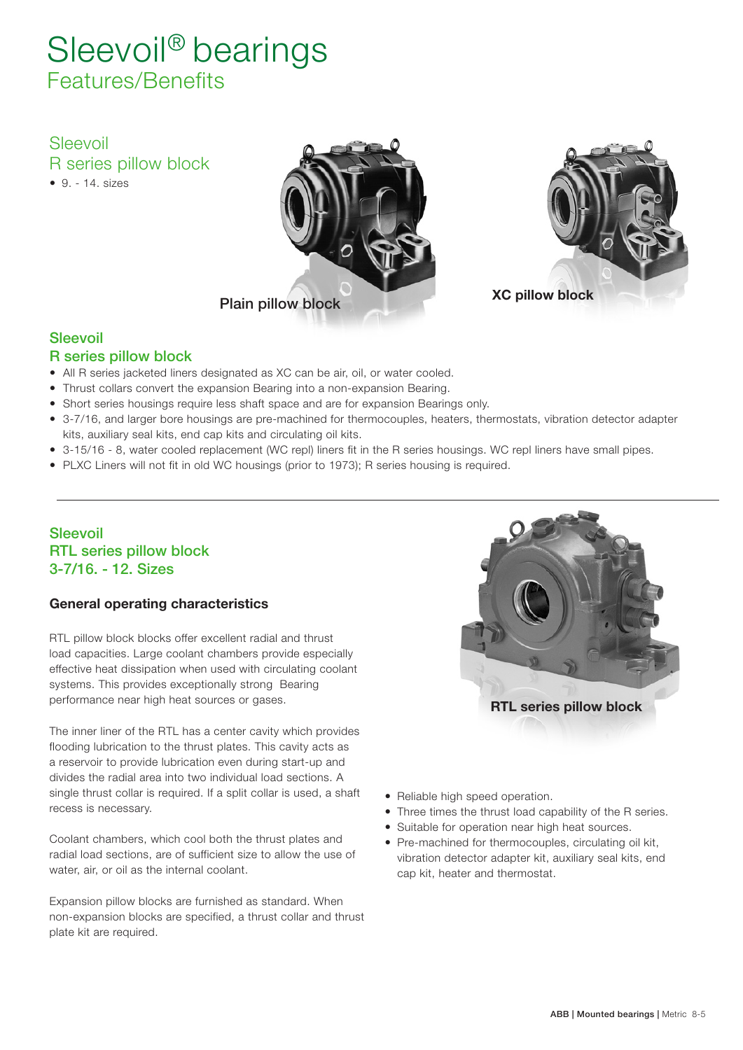# Sleevoil® bearings Features/Benefits

Sleevoil R series pillow block  $9. - 14$ , sizes





#### Sleevoil

#### R series pillow block

- All R series jacketed liners designated as XC can be air, oil, or water cooled.
- Thrust collars convert the expansion Bearing into a non-expansion Bearing.
- Short series housings require less shaft space and are for expansion Bearings only.
- 3-7/16, and larger bore housings are pre-machined for thermocouples, heaters, thermostats, vibration detector adapter kits, auxiliary seal kits, end cap kits and circulating oil kits.
- 3-15/16 8, water cooled replacement (WC repl) liners fit in the R series housings. WC repl liners have small pipes.
- PLXC Liners will not fit in old WC housings (prior to 1973); R series housing is required.

#### Sleevoil RTL series pillow block 3-7/16. - 12. Sizes

#### General operating characteristics

RTL pillow block blocks offer excellent radial and thrust load capacities. Large coolant chambers provide especially effective heat dissipation when used with circulating coolant systems. This provides exceptionally strong Bearing performance near high heat sources or gases.

The inner liner of the RTL has a center cavity which provides flooding lubrication to the thrust plates. This cavity acts as a reservoir to provide lubrication even during start-up and divides the radial area into two individual load sections. A single thrust collar is required. If a split collar is used, a shaft recess is necessary.

Coolant chambers, which cool both the thrust plates and radial load sections, are of sufficient size to allow the use of water, air, or oil as the internal coolant.

Expansion pillow blocks are furnished as standard. When non-expansion blocks are specified, a thrust collar and thrust plate kit are required.



- Reliable high speed operation.
- Three times the thrust load capability of the R series.
- Suitable for operation near high heat sources.
- Pre-machined for thermocouples, circulating oil kit, vibration detector adapter kit, auxiliary seal kits, end cap kit, heater and thermostat.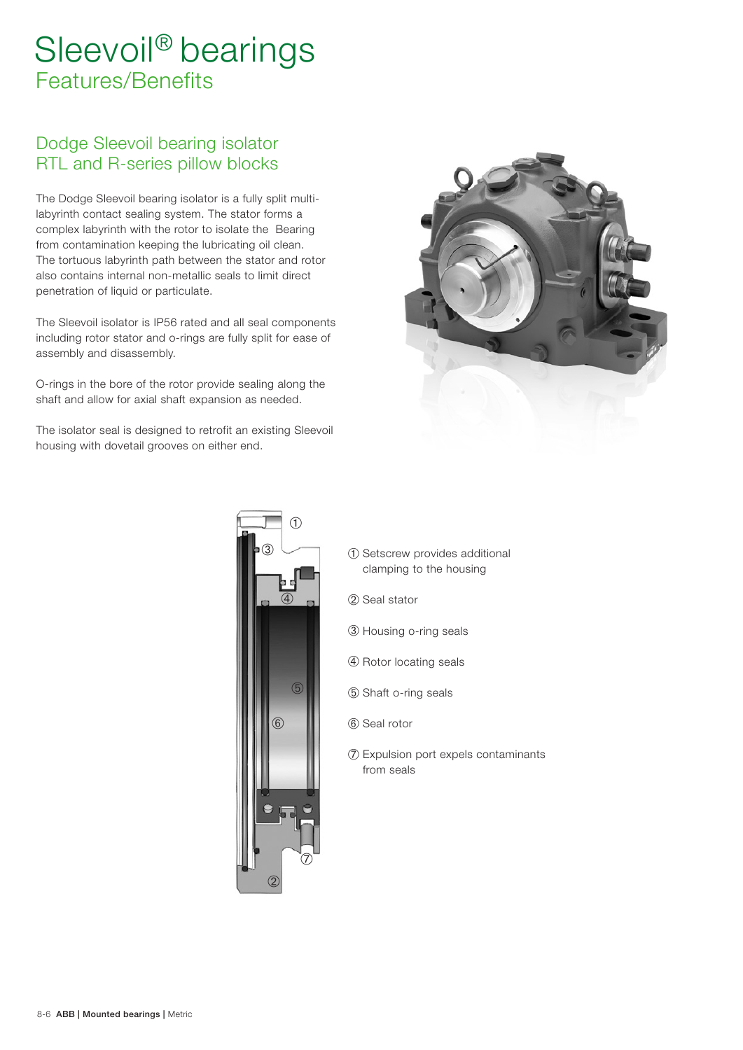# Sleevoil® bearings Features/Benefits

### Dodge Sleevoil bearing isolator RTL and R-series pillow blocks

The Dodge Sleevoil bearing isolator is a fully split multilabyrinth contact sealing system. The stator forms a complex labyrinth with the rotor to isolate the Bearing from contamination keeping the lubricating oil clean. The tortuous labyrinth path between the stator and rotor also contains internal non-metallic seals to limit direct penetration of liquid or particulate.

The Sleevoil isolator is IP56 rated and all seal components including rotor stator and o-rings are fully split for ease of assembly and disassembly.

O-rings in the bore of the rotor provide sealing along the shaft and allow for axial shaft expansion as needed.

The isolator seal is designed to retrofit an existing Sleevoil housing with dovetail grooves on either end.





- ➀ Setscrew provides additional clamping to the housing
- ➁ Seal stator
- ➂ Housing o-ring seals
- ➃ Rotor locating seals
- ➄ Shaft o-ring seals
- ➅ Seal rotor
- ➆ Expulsion port expels contaminants from seals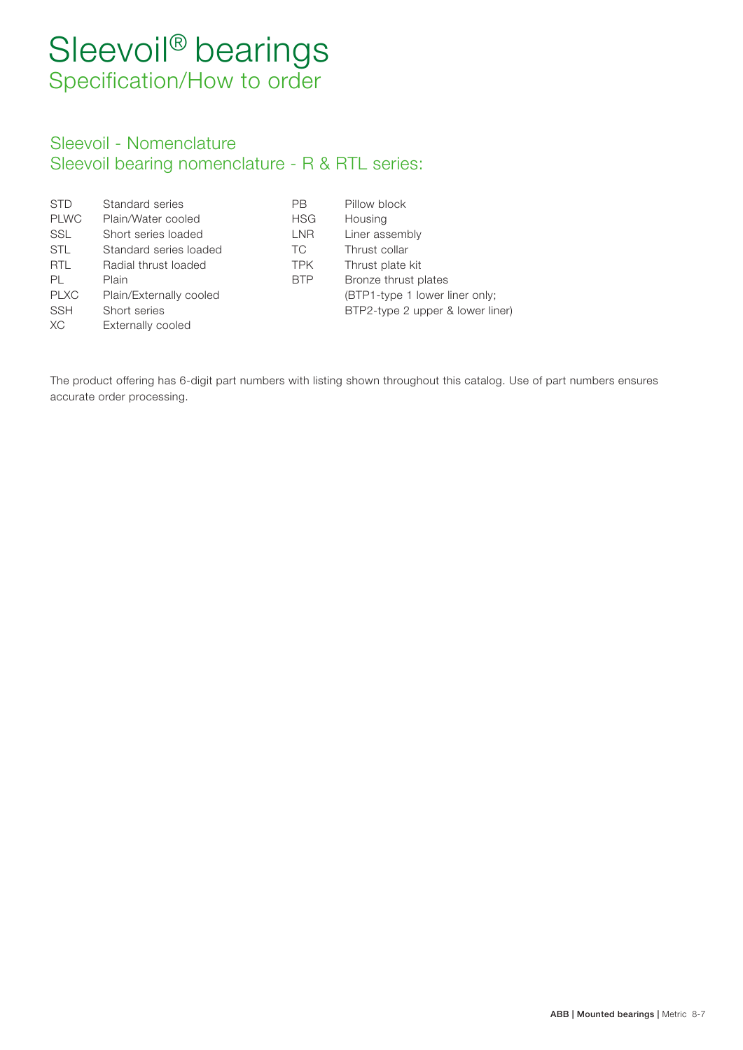# Sleevoil<sup>®</sup> bearings Specification/How to order

### Sleevoil - Nomenclature Sleevoil bearing nomenclature - R & RTL series:

| <b>STD</b>  | Standard series         | PВ         | Pillow block                     |
|-------------|-------------------------|------------|----------------------------------|
| <b>PLWC</b> | Plain/Water cooled      | <b>HSG</b> | Housing                          |
| SSL         | Short series loaded     | LNR.       | Liner assembly                   |
| <b>STL</b>  | Standard series loaded  | ТC         | Thrust collar                    |
| <b>RTL</b>  | Radial thrust loaded    | <b>TPK</b> | Thrust plate kit                 |
| PL          | Plain                   | <b>BTP</b> | Bronze thrust plates             |
| <b>PLXC</b> | Plain/Externally cooled |            | (BTP1-type 1 lower liner only;   |
| <b>SSH</b>  | Short series            |            | BTP2-type 2 upper & lower liner) |
| XC.         | Externally cooled       |            |                                  |

The product offering has 6-digit part numbers with listing shown throughout this catalog. Use of part numbers ensures accurate order processing.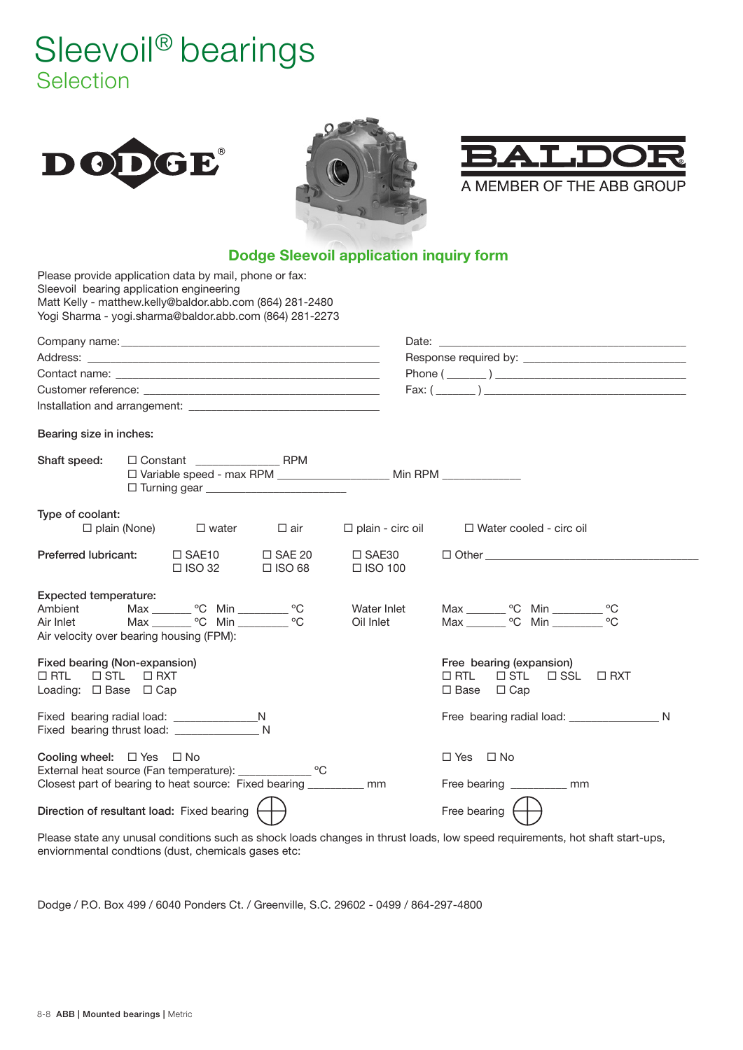# Sleevoil<sup>®</sup> bearings Selection







A MEMBER OF THE ABB GROUP

### **Dodge Sleevoil application inquiry form**

| Sleevoil bearing application engineering                                                         |                     | Please provide application data by mail, phone or fax:<br>Matt Kelly - matthew.kelly@baldor.abb.com (864) 281-2480<br>Yogi Sharma - yogi.sharma@baldor.abb.com (864) 281-2273 |                                   |                                                                          |                                                                                                                     |  |
|--------------------------------------------------------------------------------------------------|---------------------|-------------------------------------------------------------------------------------------------------------------------------------------------------------------------------|-----------------------------------|--------------------------------------------------------------------------|---------------------------------------------------------------------------------------------------------------------|--|
|                                                                                                  |                     |                                                                                                                                                                               |                                   |                                                                          |                                                                                                                     |  |
|                                                                                                  |                     |                                                                                                                                                                               |                                   |                                                                          |                                                                                                                     |  |
|                                                                                                  |                     |                                                                                                                                                                               |                                   |                                                                          |                                                                                                                     |  |
|                                                                                                  |                     |                                                                                                                                                                               |                                   |                                                                          | Fax: $(\_ \_ )$                                                                                                     |  |
|                                                                                                  |                     |                                                                                                                                                                               |                                   |                                                                          |                                                                                                                     |  |
| Bearing size in inches:                                                                          |                     |                                                                                                                                                                               |                                   |                                                                          |                                                                                                                     |  |
| Shaft speed:                                                                                     |                     | $\Box$ Constant RPM                                                                                                                                                           |                                   | □ Variable speed - max RPM ______________________ Min RPM ______________ |                                                                                                                     |  |
| Type of coolant:                                                                                 | $\Box$ plain (None) | $\square$ water                                                                                                                                                               | $\square$ air                     | $\Box$ plain - circ oil                                                  | $\Box$ Water cooled - circ oil                                                                                      |  |
| <b>Preferred lubricant:</b>                                                                      |                     | $\Box$ SAE10<br>$\Box$ ISO 32                                                                                                                                                 | $\square$ SAE 20<br>$\Box$ ISO 68 | $\square$ SAE30<br>$\Box$ ISO 100                                        |                                                                                                                     |  |
| <b>Expected temperature:</b><br>Ambient<br>Air Inlet<br>Air velocity over bearing housing (FPM): |                     | Max ________ °C Min _________ °C<br>Max ________ °C Min ________ °C                                                                                                           |                                   | Water Inlet<br>Oil Inlet                                                 | Max _________ °C Min __________ °C<br>Max ________ °C Min _________ °C                                              |  |
| Fixed bearing (Non-expansion)<br>$\square$ STL<br>$\Box$ RTL<br>Loading: $\Box$ Base $\Box$ Cap  | $\Box$ RXT          |                                                                                                                                                                               |                                   |                                                                          | Free bearing (expansion)<br>$\Box$ RTL<br>$\Box$ STL<br>$\square$ SSL<br>$\Box$ RXT<br>$\square$ Base<br>$\Box$ Cap |  |
|                                                                                                  |                     | Fixed bearing thrust load: N                                                                                                                                                  |                                   |                                                                          |                                                                                                                     |  |
| Cooling wheel: $\Box$ Yes $\Box$ No                                                              |                     | External heat source (Fan temperature): ______________ °C<br>Closest part of bearing to heat source: Fixed bearing _________ mm                                               |                                   |                                                                          | $\Box$ Yes $\Box$ No<br>Free bearing mm                                                                             |  |
|                                                                                                  |                     | Direction of resultant load: Fixed bearing                                                                                                                                    |                                   |                                                                          | Free bearing $\left\{$                                                                                              |  |

Please state any unusal conditions such as shock loads changes in thrust loads, low speed requirements, hot shaft start-ups, enviornmental condtions (dust, chemicals gases etc:

Dodge / P.O. Box 499 / 6040 Ponders Ct. / Greenville, S.C. 29602 - 0499 / 864-297-4800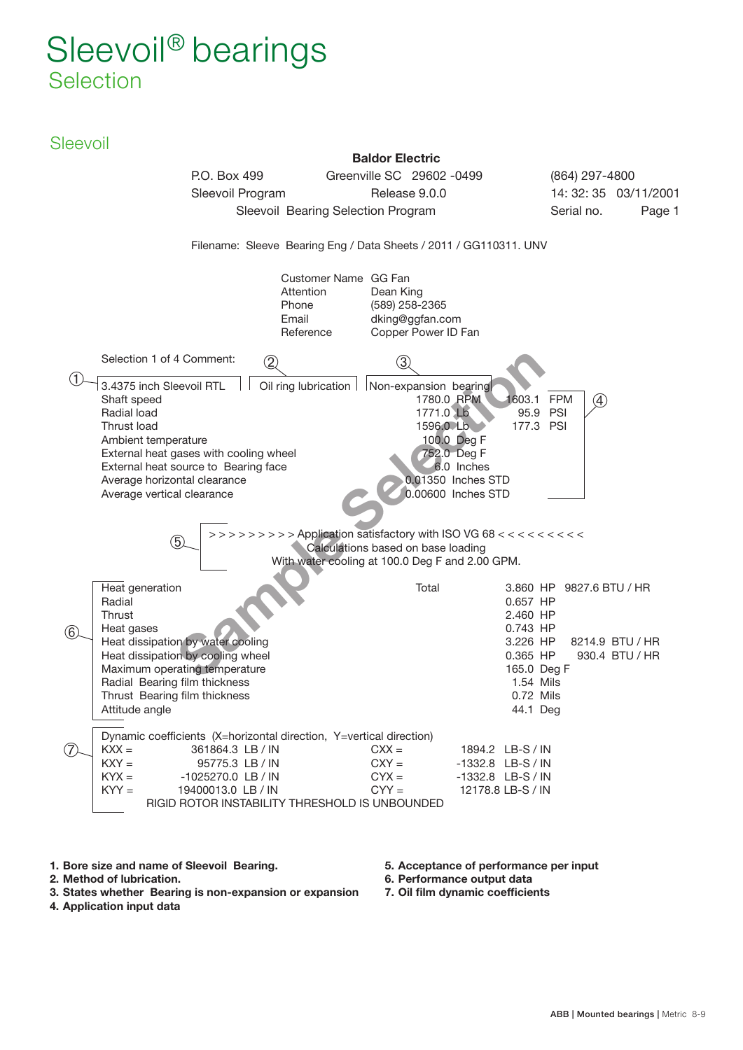# Sleevoil<sup>®</sup> bearings **Selection**

### **Sleevoil**



- 1. Bore size and name of Sleevoil Bearing.
- 2. Method of lubrication.
- 3. States whether Bearing is non-expansion or expansion
- 5. Acceptance of performance per input 6. Performance output data
- 7. Oil film dynamic coefficients

4. Application input data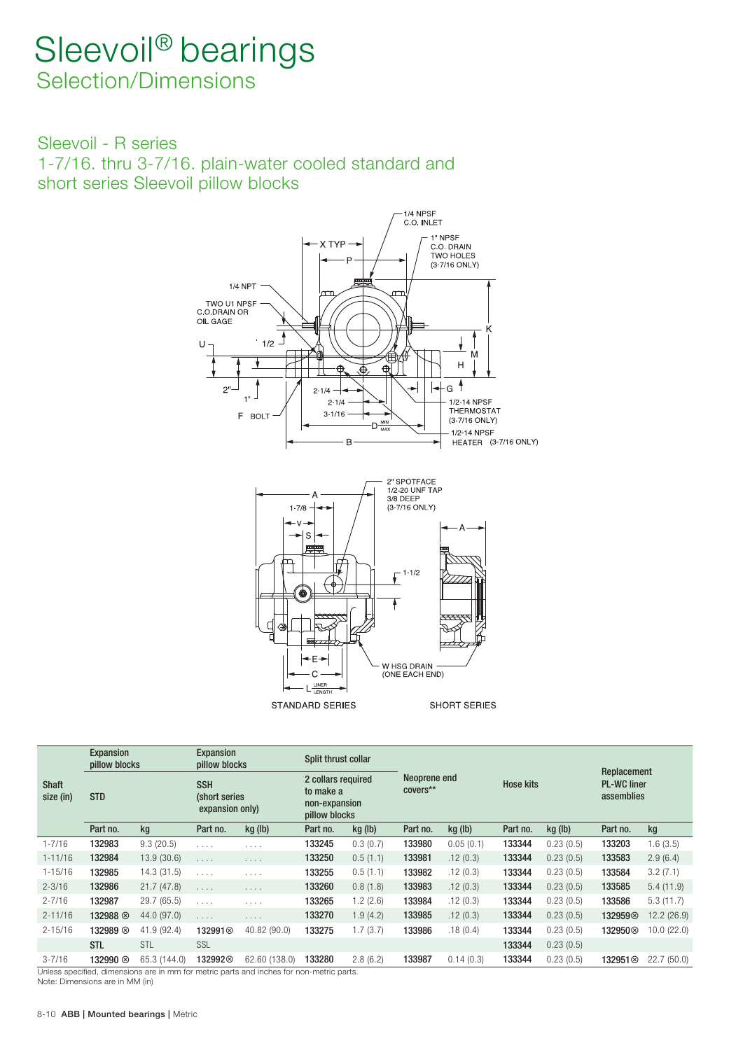### Sleevoil<sup>®</sup> bearings Selection/Dimensions

Sleevoil - R series 1-7/16 . thru 3-7/16 . plain-water cooled standard and short series Sleevoil pillow blocks



**STANDARD SERIES** 

SHORT SERIES

|                           | <b>Expansion</b><br>pillow blocks |              | <b>Expansion</b><br>pillow blocks              |               | Split thrust collar                                               |          |                          |           |                  |           | Replacement                      |            |
|---------------------------|-----------------------------------|--------------|------------------------------------------------|---------------|-------------------------------------------------------------------|----------|--------------------------|-----------|------------------|-----------|----------------------------------|------------|
| <b>Shaft</b><br>size (in) | <b>STD</b>                        |              | <b>SSH</b><br>(short series<br>expansion only) |               | 2 collars required<br>to make a<br>non-expansion<br>pillow blocks |          | Neoprene end<br>covers** |           | <b>Hose kits</b> |           | <b>PL-WC liner</b><br>assemblies |            |
|                           | Part no.                          | kg           | Part no.                                       | kg (lb)       | Part no.                                                          | kg (lb)  | Part no.                 | kg (lb)   | Part no.         | kg (lb)   | Part no.                         | kg         |
| $1 - 7/16$                | 132983                            | 9.3(20.5)    | $\alpha$ , $\alpha$ , $\alpha$ , $\alpha$      | .             | 133245                                                            | 0.3(0.7) | 133980                   | 0.05(0.1) | 133344           | 0.23(0.5) | 133203                           | 1.6(3.5)   |
| $1 - 11/16$               | 132984                            | 13.9(30.6)   | $\alpha$ , $\alpha$ , $\alpha$ , $\alpha$      | .             | 133250                                                            | 0.5(1.1) | 133981                   | .12(0.3)  | 133344           | 0.23(0.5) | 133583                           | 2.9(6.4)   |
| $1 - 15/16$               | 132985                            | 14.3(31.5)   | $\alpha$ , $\alpha$ , $\alpha$ , $\alpha$      | .             | 133255                                                            | 0.5(1.1) | 133982                   | .12(0.3)  | 133344           | 0.23(0.5) | 133584                           | 3.2(7.1)   |
| $2 - 3/16$                | 132986                            | 21.7(47.8)   | $\alpha$ , $\alpha$ , $\alpha$                 | $\cdots$      | 133260                                                            | 0.8(1.8) | 133983                   | .12(0.3)  | 133344           | 0.23(0.5) | 133585                           | 5.4(11.9)  |
| $2 - 7/16$                | 132987                            | 29.7(65.5)   | .                                              | $\cdots$      | 133265                                                            | 1.2(2.6) | 133984                   | .12(0.3)  | 133344           | 0.23(0.5) | 133586                           | 5.3(11.7)  |
| $2 - 11/16$               | 132988 ⊗                          | 44.0 (97.0)  | $\alpha$ , $\alpha$ , $\alpha$ , $\alpha$      | .             | 133270                                                            | 1.9(4.2) | 133985                   | .12(0.3)  | 133344           | 0.23(0.5) | 1329598                          | 12.2(26.9) |
| $2 - 15/16$               | 132989 8                          | 41.9 (92.4)  | 132991 <sup>⊗</sup>                            | 40.82 (90.0)  | 133275                                                            | 1.7(3.7) | 133986                   | .18(0.4)  | 133344           | 0.23(0.5) | 132950 $\otimes$                 | 10.0(22.0) |
|                           | <b>STL</b>                        | STL          | SSL                                            |               |                                                                   |          |                          |           | 133344           | 0.23(0.5) |                                  |            |
| $3 - 7/16$                | 132990 ⊗                          | 65.3 (144.0) | 132992⊗                                        | 62.60 (138.0) | 133280                                                            | 2.8(6.2) | 133987                   | 0.14(0.3) | 133344           | 0.23(0.5) | 132951 <sup>⊗</sup>              | 22.7(50.0) |

m for metric parts and inches for non-metric parts.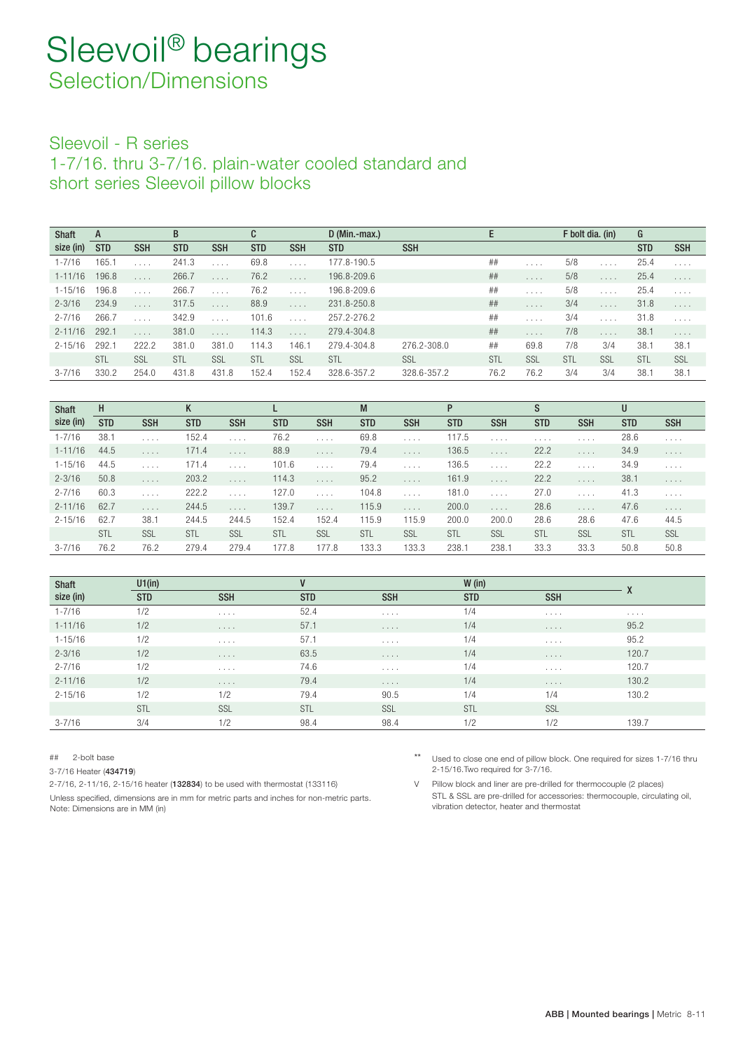### Sleevoil - R series

1-7/16 . thru 3-7/16 . plain-water cooled standard and short series Sleevoil pillow blocks

| <b>Shaft</b> | A          |            | B          |            | C          |            | $D$ (Min.-max.) |             | E    |         | F bolt dia. (in) |         | G          |                                |
|--------------|------------|------------|------------|------------|------------|------------|-----------------|-------------|------|---------|------------------|---------|------------|--------------------------------|
| size (in)    | <b>STD</b> | <b>SSH</b> | <b>STD</b> | <b>SSH</b> | <b>STD</b> | <b>SSH</b> | <b>STD</b>      | <b>SSH</b>  |      |         |                  |         | <b>STD</b> | <b>SSH</b>                     |
| $1 - 7/16$   | 165.1      |            | 241.3      |            | 69.8       | 1.1.1.1    | 177.8-190.5     |             | ##   | 1.1.1.1 | 5/8              | 1.1.1   | 25.4       | $\alpha$ , $\alpha$ , $\alpha$ |
| $1 - 11/16$  | 196.8      | 1.1.1.1    | 266.7      | 1.1.1.1    | 76.2       | 1.1.1      | 196.8-209.6     |             | ##   | 1.1.1.1 | 5/8              | 1.1.1   | 25.4       | $\alpha$ , $\alpha$ , $\alpha$ |
| $1 - 15/16$  | 196.8      | 1.1.1      | 266.7      |            | 76.2       |            | 196.8-209.6     |             | ##   | 1.1.1   | 5/8              | 1.1.1   | 25.4       | 1.1.1                          |
| $2 - 3/16$   | 234.9      | 1.1.1      | 317.5      | 1.1.1      | 88.9       | 1.1.1.1    | 231.8-250.8     |             | ##   | 1.1.1   | 3/4              | 1.1.1   | 31.8       | $\alpha$ , $\alpha$ , $\alpha$ |
| $2 - 7/16$   | 266.7      |            | 342.9      |            | 101.6      | 1.1.1      | 257.2-276.2     |             | ##   | 1.1.1.1 | 3/4              | 1.1.1.1 | 31.8       | 1.1.1.1                        |
| $2 - 11/16$  | 292.1      | 1.1.1      | 381.0      | 1.1.1      | 114.3      | 1.1.1      | 279.4-304.8     |             | ##   | 1.1.1.1 | 7/8              | 1.1.1   | 38.7       | 1.1.1                          |
| $2 - 15/16$  | 292.1      | 222.2      | 381.0      | 381.0      | 114.3      | 146.1      | 279.4-304.8     | 276.2-308.0 | ##   | 69.8    | 7/8              | 3/4     | 38.1       | 38.1                           |
|              | <b>STL</b> | SSL        | STL        | SSL        | STL        | SSL        | STL             | SSL         | STL  | SSL     | STL              | SSL     | STL        | SSL                            |
| $3 - 7/16$   | 330.2      | 254.0      | 431.8      | 431.8      | 152.4      | 152.4      | 328.6-357.2     | 328.6-357.2 | 76.2 | 76.2    | 3/4              | 3/4     | 38.        | 38.1                           |

| <b>Shaft</b> | H          |                                | K          |                                           |            |                                | M          |                                           |            |                                |            |                                | U          |                                |
|--------------|------------|--------------------------------|------------|-------------------------------------------|------------|--------------------------------|------------|-------------------------------------------|------------|--------------------------------|------------|--------------------------------|------------|--------------------------------|
| size (in)    | <b>STD</b> | <b>SSH</b>                     | <b>STD</b> | <b>SSH</b>                                | <b>STD</b> | <b>SSH</b>                     | <b>STD</b> | <b>SSH</b>                                | <b>STD</b> | <b>SSH</b>                     | <b>STD</b> | <b>SSH</b>                     | <b>STD</b> | <b>SSH</b>                     |
| $1 - 7/16$   | 38.1       | 1.1.1.1                        | 152.4      | $\alpha$ , $\alpha$ , $\alpha$ , $\alpha$ | 76.2       | $\alpha$ , $\alpha$ , $\alpha$ | 69.8       | 1.1.1.1                                   | 117.5      | $\cdots$                       | $\cdots$   | $\cdots$                       | 28.6       | $\alpha$ , $\alpha$ , $\alpha$ |
| $1 - 11/16$  | 44.5       | 1.1.1                          | 171.4      | 1.1.1.1                                   | 88.9       | 1.1.1                          | 79.4       | 1.1.1.1                                   | 136.5      | $\alpha$ , $\alpha$ , $\alpha$ | 22.2       | 1.1.1                          | 34.9       | 1.1.1.1                        |
| $1 - 15/16$  | 44.5       | $\alpha$ , $\alpha$ , $\alpha$ | 171.4      | $\alpha$ , $\alpha$ , $\alpha$            | 101.6      | $\alpha$ , $\alpha$ , $\alpha$ | 79.4       | $\alpha$ , $\alpha$ , $\alpha$ , $\alpha$ | 136.5      | $\alpha$ , $\alpha$ , $\alpha$ | 22.2       | $\sim$ $\sim$ $\sim$ $\sim$    | 34.9       | $\sim$ $\sim$ $\sim$ $\sim$    |
| $2 - 3/16$   | 50.8       | $\alpha$ , $\alpha$ , $\alpha$ | 203.2      | $\alpha$ , $\alpha$ , $\alpha$            | 114.3      | 1.1.1                          | 95.2       | $\alpha$ , $\alpha$ , $\alpha$            | 161.9      | $\alpha$ , $\alpha$ , $\alpha$ | 22.2       | $\alpha$ , $\alpha$ , $\alpha$ | 38.1       | 1.1.1.1                        |
| $2 - 7/16$   | 60.3       | 1.1.1.1                        | 222.2      | 1.1.1.1                                   | 127.0      | $\alpha$ , $\alpha$ , $\alpha$ | 104.8      | $\alpha$ , $\alpha$ , $\alpha$            | 181.0      | $\alpha$ , $\alpha$ , $\alpha$ | 27.0       | 1.1.1                          | 41.3       |                                |
| $2 - 11/16$  | 62.7       | $\alpha$ , $\alpha$ , $\alpha$ | 244.5      | $\alpha$ , $\alpha$ , $\alpha$            | 139.7      | $\alpha$ , $\alpha$ , $\alpha$ | 115.9      | $\alpha$ , $\alpha$ , $\alpha$            | 200.0      | $\sim 100$                     | 28.6       | $\ldots$ .                     | 47.6       | $\alpha$ , $\alpha$ , $\alpha$ |
| $2 - 15/16$  | 62.7       | 38.1                           | 244.5      | 244.5                                     | 152.4      | 152.4                          | 115.9      | 115.9                                     | 200.0      | 200.0                          | 28.6       | 28.6                           | 47.6       | 44.5                           |
|              | <b>STL</b> | SSL                            | <b>STL</b> | SSL                                       | STL        | SSL                            | <b>STL</b> | SSL                                       | <b>STL</b> | SSL                            | STL        | SSL                            | STL        | SSL                            |
| $3 - 7/16$   | 76.2       | 76.2                           | 279.4      | 279.4                                     | 177.8      | 177.8                          | 133.3      | 133.3                                     | 238.1      | 238.                           | 33.3       | 33.3                           | 50.8       | 50.8                           |

| <b>Shaft</b> | U1(in)     |                             | $\mathbf{V}$ |                                           | W (in)     |                             |                             |
|--------------|------------|-----------------------------|--------------|-------------------------------------------|------------|-----------------------------|-----------------------------|
| size (in)    | <b>STD</b> | <b>SSH</b>                  | <b>STD</b>   | <b>SSH</b>                                | <b>STD</b> | <b>SSH</b>                  | $\Lambda$                   |
| $1 - 7/16$   | 1/2        | $\sim$ $\sim$ $\sim$ $\sim$ | 52.4         | $\sim$ $\sim$ $\sim$ $\sim$               | 1/4        | $\sim$ $\sim$ $\sim$ $\sim$ | $\sim$ $\sim$ $\sim$ $\sim$ |
| $1 - 11/16$  | 1/2        | $\cdots$                    | 57.1         | $\cdots$                                  | 1/4        | $\cdots$                    | 95.2                        |
| $1 - 15/16$  | 1/2        | $\sim$ $\sim$ $\sim$ $\sim$ | 57.1         | $\alpha$ , $\alpha$ , $\alpha$ , $\alpha$ | 1/4        | $\sim$ $\sim$ $\sim$ $\sim$ | 95.2                        |
| $2 - 3/16$   | 1/2        | $\sim$ $\sim$ $\sim$ $\sim$ | 63.5         | <b>Service</b>                            | 1/4        | $\cdots$                    | 120.7                       |
| $2 - 7/16$   | 1/2        | $\sim$ $\sim$ $\sim$ $\sim$ | 74.6         | $\alpha$ , $\alpha$ , $\alpha$ , $\alpha$ | 1/4        | $\sim$ $\sim$ $\sim$ $\sim$ | 120.7                       |
| $2 - 11/16$  | 1/2        | $\sim$ $\sim$ $\sim$ $\sim$ | 79.4         | $\sim$ $\sim$ $\sim$ $\sim$               | 1/4        | $\cdots$                    | 130.2                       |
| $2 - 15/16$  | 1/2        | 1/2                         | 79.4         | 90.5                                      | 1/4        | 1/4                         | 130.2                       |
|              | STL        | SSL                         | STL          | SSL                                       | STL        | SSL                         |                             |
| $3 - 7/16$   | 3/4        | 1/2                         | 98.4         | 98.4                                      | 1/2        | 1/2                         | 139.7                       |

2-7/16, 2-11/16, 2-15/16 heater (132834) to be used with thermostat (133116) V Pillow block and liner are pre-drilled for thermocouple (2 places)

Unless specified, dimensions are in mm for metric parts and inches for non-metric parts. Note: Dimensions are in MM (in)

# 2-bolt base the state of products and the state of pillow block. One required for sizes 1-7/16 thru 3-7/16 Heater (434719 2-15/16.Two required for 3-7/16. )

> STL & SSL are pre-drilled for accessories: thermocouple, circulating oil, vibration detector, heater and thermostat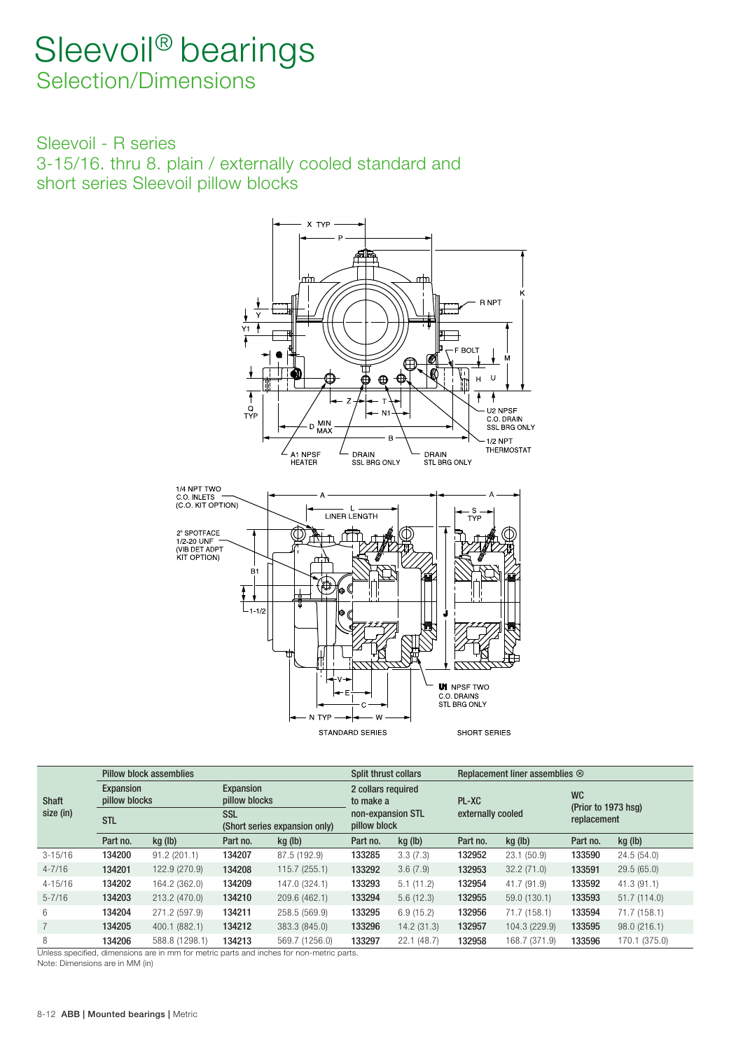Sleevoil - R series 3-15/16. thru 8. plain / externally cooled standard and short series Sleevoil pillow blocks



|              |                            | <b>Pillow block assemblies</b> |                            |                               | <b>Split thrust collars</b>       |            |                   | Replacement liner assemblies $\otimes$ |                                  |               |
|--------------|----------------------------|--------------------------------|----------------------------|-------------------------------|-----------------------------------|------------|-------------------|----------------------------------------|----------------------------------|---------------|
| <b>Shaft</b> | Expansion<br>pillow blocks |                                | Expansion<br>pillow blocks |                               | 2 collars required<br>to make a   |            | PL-XC             |                                        | <b>WC</b><br>(Prior to 1973 hsq) |               |
| size (in)    | <b>STL</b>                 |                                | <b>SSL</b>                 | (Short series expansion only) | non-expansion STL<br>pillow block |            | externally cooled |                                        | replacement                      |               |
|              | Part no.                   | kg (lb)                        | Part no.                   | kg (lb)                       | Part no.                          | kg (lb)    | Part no.          | kg (lb)                                | Part no.                         | kg (lb)       |
| $3 - 15/16$  | 134200                     | 91.2(201.1)                    | 134207                     | 87.5 (192.9)                  | 133285                            | 3.3(7.3)   | 132952            | 23.1(50.9)                             | 133590                           | 24.5(54.0)    |
| $4 - 7/16$   | 134201                     | 122.9 (270.9)                  | 134208                     | 115.7(255.1)                  | 133292                            | 3.6(7.9)   | 132953            | 32.2(71.0)                             | 133591                           | 29.5(65.0)    |
| $4 - 15/16$  | 134202                     | 164.2 (362.0)                  | 134209                     | 147.0 (324.1)                 | 133293                            | 5.1(11.2)  | 132954            | 41.7 (91.9)                            | 133592                           | 41.3(91.1)    |
| $5 - 7/16$   | 134203                     | 213.2 (470.0)                  | 134210                     | 209.6 (462.1)                 | 133294                            | 5.6(12.3)  | 132955            | 59.0 (130.1)                           | 133593                           | 51.7(114.0)   |
| 6            | 134204                     | 271.2 (597.9)                  | 134211                     | 258.5 (569.9)                 | 133295                            | 6.9(15.2)  | 132956            | 71.7 (158.1)                           | 133594                           | 71.7 (158.1)  |
|              | 134205                     | 400.1 (882.1)                  | 134212                     | 383.3 (845.0)                 | 133296                            | 14.2(31.3) | 132957            | 104.3 (229.9)                          | 133595                           | 98.0(216.1)   |
| 8            | 134206                     | 588.8 (1298.1)                 | 134213                     | 569.7 (1256.0)                | 133297                            | 22.1(48.7) | 132958            | 168.7 (371.9)                          | 133596                           | 170.1 (375.0) |

Unless specified, dimensions are in mm for metric parts and inches for non-metric parts.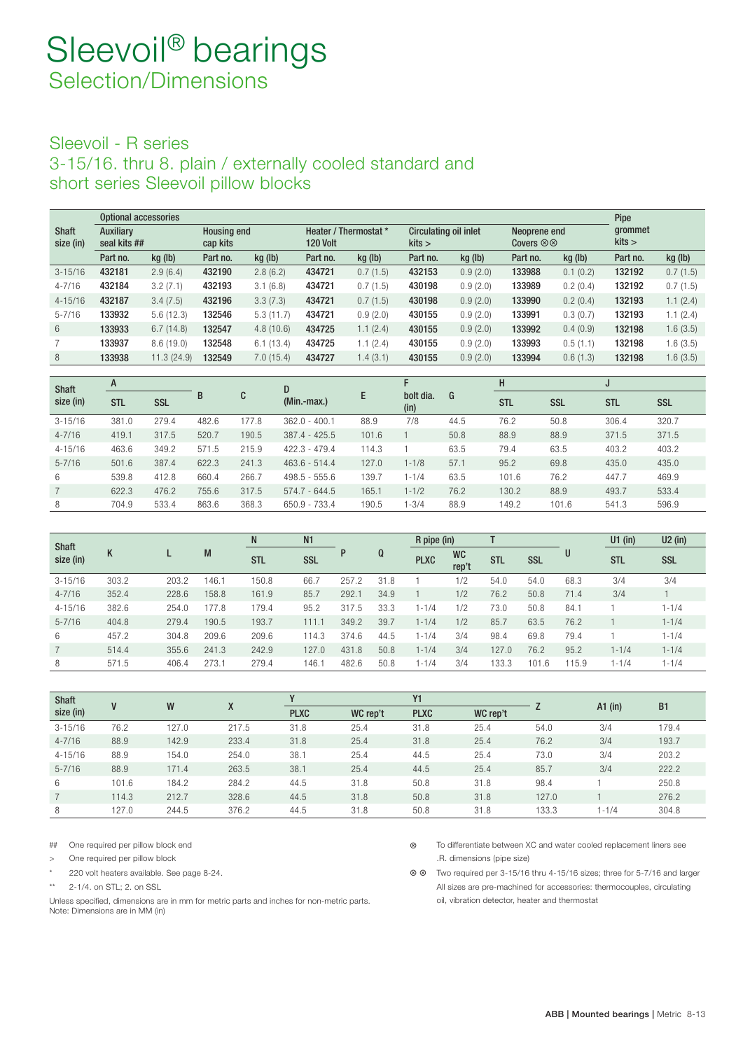### Sleevoil - R series 3-15/16. thru 8. plain / externally cooled standard and short series Sleevoil pillow blocks

|              | Optional accessories |            |                    |           |                       |          |                              |          |                          |          | <b>Pipe</b> |          |
|--------------|----------------------|------------|--------------------|-----------|-----------------------|----------|------------------------------|----------|--------------------------|----------|-------------|----------|
| <b>Shaft</b> | Auxiliary            |            | <b>Housing end</b> |           | Heater / Thermostat * |          | <b>Circulating oil inlet</b> |          | Neoprene end             |          | grommet     |          |
| size (in)    | seal kits ##         |            | cap kits           |           | 120 Volt              |          | kits                         |          | Covers $\otimes \otimes$ |          | kits        |          |
|              | Part no.             | kg (lb)    | Part no.           | kg (lb)   | Part no.              | kg (lb)  | Part no.                     | kg (lb)  | Part no.                 | kg (lb)  | Part no.    | kg (lb)  |
| $3 - 15/16$  | 432181               | 2.9(6.4)   | 432190             | 2.8(6.2)  | 434721                | 0.7(1.5) | 432153                       | 0.9(2.0) | 133988                   | 0.1(0.2) | 132192      | 0.7(1.5) |
| $4 - 7/16$   | 432184               | 3.2(7.1)   | 432193             | 3.1(6.8)  | 434721                | 0.7(1.5) | 430198                       | 0.9(2.0) | 133989                   | 0.2(0.4) | 132192      | 0.7(1.5) |
| $4 - 15/16$  | 432187               | 3.4(7.5)   | 432196             | 3.3(7.3)  | 434721                | 0.7(1.5) | 430198                       | 0.9(2.0) | 133990                   | 0.2(0.4) | 132193      | 1.1(2.4) |
| $5 - 7/16$   | 133932               | 5.6(12.3)  | 132546             | 5.3(11.7) | 434721                | 0.9(2.0) | 430155                       | 0.9(2.0) | 133991                   | 0.3(0.7) | 132193      | 1.1(2.4) |
| 6            | 133933               | 6.7(14.8)  | 132547             | 4.8(10.6) | 434725                | 1.1(2.4) | 430155                       | 0.9(2.0) | 133992                   | 0.4(0.9) | 132198      | 1.6(3.5) |
|              | 133937               | 8.6(19.0)  | 132548             | 6.1(13.4) | 434725                | 1.1(2.4) | 430155                       | 0.9(2.0) | 133993                   | 0.5(1.1) | 132198      | 1.6(3.5) |
| 8            | 133938               | 11.3(24.9) | 132549             | 7.0(15.4) | 434727                | 1.4(3.1) | 430155                       | 0.9(2.0) | 133994                   | 0.6(1.3) | 132198      | 1.6(3.5) |

| <b>Shaft</b> | A          |            |       |       | D               |       |                   |      | н          |            | υ          |            |
|--------------|------------|------------|-------|-------|-----------------|-------|-------------------|------|------------|------------|------------|------------|
| size (in)    | <b>STL</b> | <b>SSL</b> | В     | C     | $(Min.-max.)$   | E     | bolt dia.<br>(in) | G    | <b>STL</b> | <b>SSL</b> | <b>STL</b> | <b>SSL</b> |
| $3 - 15/16$  | 381.0      | 279.4      | 482.6 | 177.8 | $362.0 - 400.1$ | 88.9  | 7/8               | 44.5 | 76.2       | 50.8       | 306.4      | 320.7      |
| $4 - 7/16$   | 419.1      | 317.5      | 520.7 | 190.5 | $387.4 - 425.5$ | 101.6 |                   | 50.8 | 88.9       | 88.9       | 371.5      | 371.5      |
| $4 - 15/16$  | 463.6      | 349.2      | 571.5 | 215.9 | $422.3 - 479.4$ | 114.3 |                   | 63.5 | 79.4       | 63.5       | 403.2      | 403.2      |
| $5 - 7/16$   | 501.6      | 387.4      | 622.3 | 241.3 | $463.6 - 514.4$ | 127.0 | $1 - 1/8$         | 57.1 | 95.2       | 69.8       | 435.0      | 435.0      |
| 6            | 539.8      | 412.8      | 660.4 | 266.7 | $498.5 - 555.6$ | 139.7 | $1 - 1/4$         | 63.5 | 101.6      | 76.2       | 447.7      | 469.9      |
|              | 622.3      | 476.2      | 755.6 | 317.5 | $574.7 - 644.5$ | 165.1 | $1 - 1/2$         | 76.2 | 130.2      | 88.9       | 493.7      | 533.4      |
| 8            | 704.9      | 533.4      | 863.6 | 368.3 | 650.9 - 733.4   | 190.5 | $-3/4$            | 88.9 | 149.2      | 101.6      | 541.3      | 596.9      |

| <b>Shaft</b> |       |       |       | N          | N <sub>1</sub> |       |      | R pipe (in) |                    |            |            |       | $U1$ (in)  | $U2$ (in)  |
|--------------|-------|-------|-------|------------|----------------|-------|------|-------------|--------------------|------------|------------|-------|------------|------------|
| size (in)    | K     |       | M     | <b>STL</b> | <b>SSL</b>     |       | Q    | <b>PLXC</b> | <b>WC</b><br>rep't | <b>STL</b> | <b>SSL</b> | U     | <b>STL</b> | <b>SSL</b> |
| $3 - 15/16$  | 303.2 | 203.2 | 146.1 | 150.8      | 66.            | 257.2 | 31.8 |             | 1/2                | 54.0       | 54.0       | 68.3  | 3/4        | 3/4        |
| $4 - 7/16$   | 352.4 | 228.6 | 158.8 | 161.9      | 85.7           | 292.1 | 34.9 |             | 1/2                | 76.2       | 50.8       | 71.4  | 3/4        |            |
| $4 - 15/16$  | 382.6 | 254.0 | 177.8 | 179.4      | 95.2           | 317.5 | 33.3 | $1 - 1/4$   | 1/2                | 73.0       | 50.8       | 84.1  |            | $1 - 1/4$  |
| $5 - 7/16$   | 404.8 | 279.4 | 190.5 | 193.7      | 111.1          | 349.2 | 39.7 | $1 - 1/4$   | 1/2                | 85.7       | 63.5       | 76.2  |            | $1 - 1/4$  |
| 6            | 457.2 | 304.8 | 209.6 | 209.6      | 114.3          | 374.6 | 44.5 | $1 - 1/4$   | 3/4                | 98.4       | 69.8       | 79.4  |            | $1 - 1/4$  |
|              | 514.4 | 355.6 | 241.3 | 242.9      | 127.0          | 431.8 | 50.8 | $1 - 1/4$   | 3/4                | 127.0      | 76.2       | 95.2  | $1 - 1/4$  | $1 - 1/4$  |
| 8            | 571.5 | 406.4 | 273.1 | 279.4      | 146.1          | 482.6 | 50.8 | $1 - 1/4$   | 3/4                | 133.3      | 101.6      | 115.9 | $1 - 1/4$  | $1 - 1/4$  |

| <b>Shaft</b> | W<br>V |       | X     |             |          | Υ1          |          |       | $A1$ (in) | B <sub>1</sub> |
|--------------|--------|-------|-------|-------------|----------|-------------|----------|-------|-----------|----------------|
| size (in)    |        |       |       | <b>PLXC</b> | WC rep't | <b>PLXC</b> | WC rep't |       |           |                |
| $3 - 15/16$  | 76.2   | 127.0 | 217.5 | 31.8        | 25.4     | 31.8        | 25.4     | 54.0  | 3/4       | 179.4          |
| $4 - 7/16$   | 88.9   | 142.9 | 233.4 | 31.8        | 25.4     | 31.8        | 25.4     | 76.2  | 3/4       | 193.7          |
| $4 - 15/16$  | 88.9   | 154.0 | 254.0 | 38.1        | 25.4     | 44.5        | 25.4     | 73.0  | 3/4       | 203.2          |
| $5 - 7/16$   | 88.9   | 171.4 | 263.5 | 38.1        | 25.4     | 44.5        | 25.4     | 85.7  | 3/4       | 222.2          |
| 6            | 101.6  | 184.2 | 284.2 | 44.5        | 31.8     | 50.8        | 31.8     | 98.4  |           | 250.8          |
|              | 114.3  | 212.7 | 328.6 | 44.5        | 31.8     | 50.8        | 31.8     | 127.0 |           | 276.2          |
| 8            | 127.0  | 244.5 | 376.2 | 44.5        | 31.8     | 50.8        | 31.8     | 133.3 | 1-1/4     | 304.8          |

Unless specified, dimensions are in mm for metric parts and inches for non-metric parts. <br>
oil, vibration detector, heater and thermostat Note: Dimensions are in MM (in)

# One required per pillow block end V To differentiate between XC and water cooled replacement liners see > One required per pillow block ... The state of the state of the state of the state of the state of the state of the state of the state of the state of the state of the state of the state of the state of the state of the

220 volt heaters available. See page 8-24. V V Two required per 3-15/16 thru 4-15/16 sizes; three for 5-7/16 and larger \*\* 2-1/4. on STL; 2. on SSL 2001 CHALL STATES and STATES are pre-machined for accessories: thermocouples, circulating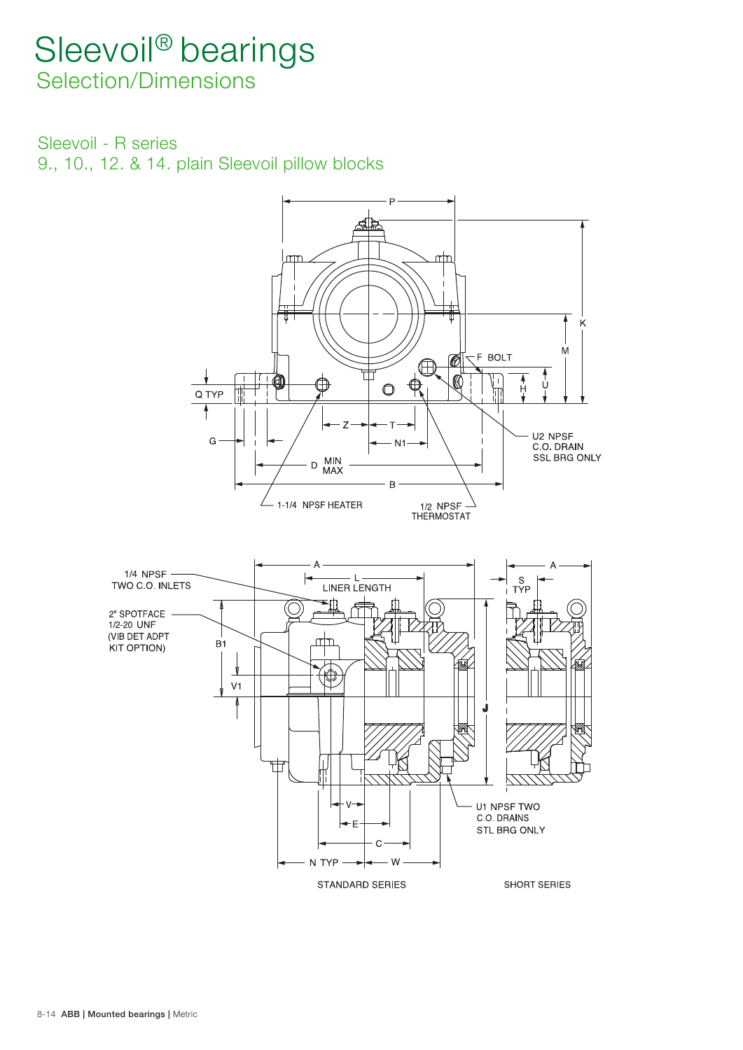Sleevoil - R series

9., 10., 12. & 14. plain Sleevoil pillow blocks

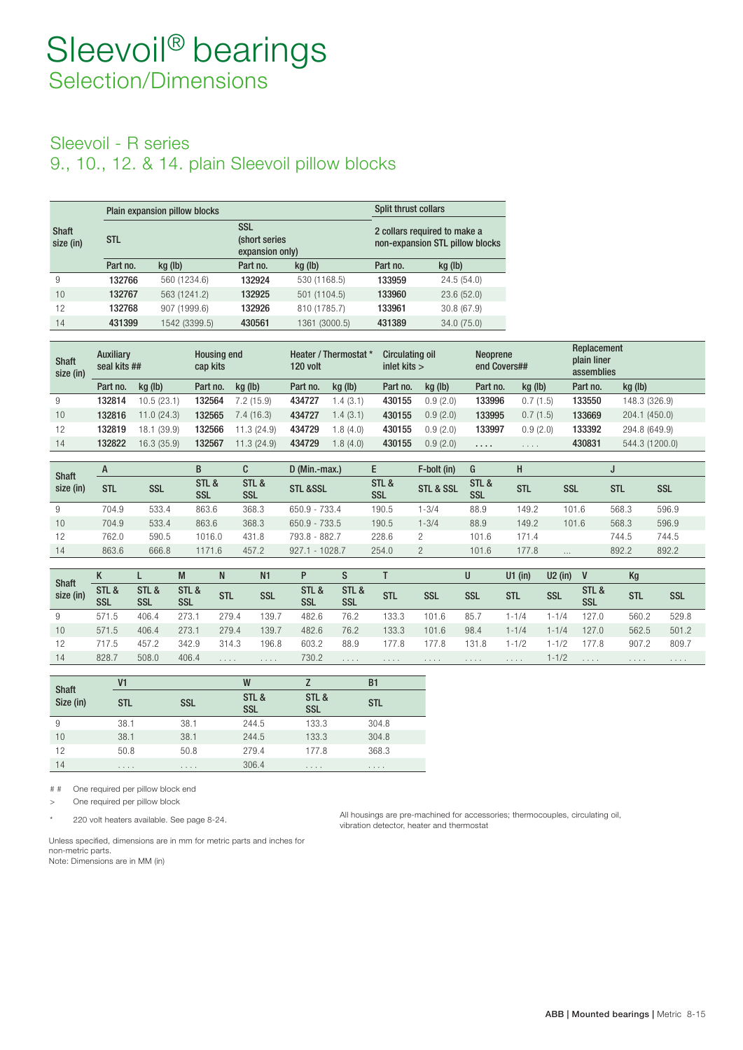### Sleevoil - R series

9., 10., 12. & 14. plain Sleevoil pillow blocks

|                           |            | Plain expansion pillow blocks |                                                 |               | Split thrust collars |                                                                 |
|---------------------------|------------|-------------------------------|-------------------------------------------------|---------------|----------------------|-----------------------------------------------------------------|
| <b>Shaft</b><br>size (in) | <b>STL</b> |                               | <b>SSL</b><br>(short series)<br>expansion only) |               |                      | 2 collars required to make a<br>non-expansion STL pillow blocks |
|                           | Part no.   | kg (lb)                       | Part no.                                        | kg (lb)       | Part no.             | kg (lb)                                                         |
| 9                         | 132766     | 560 (1234.6)                  | 132924                                          | 530 (1168.5)  | 133959               | 24.5(54.0)                                                      |
| 10                        | 132767     | 563 (1241.2)                  | 132925                                          | 501 (1104.5)  | 133960               | 23.6(52.0)                                                      |
| 12                        | 132768     | 907 (1999.6)                  | 132926                                          | 810 (1785.7)  | 133961               | 30.8(67.9)                                                      |
| 14                        | 431399     | 1542 (3399.5)                 | 430561                                          | 1361 (3000.5) | 431389               | 34.0 (75.0)                                                     |

| <b>Shaft</b><br>size (in) | Auxiliary | seal kits ##   |          | <b>Housing end</b><br>cap kits |          | Heater / Thermostat *<br>120 volt |          | Circulating oil<br>inlet kits $>$ |          | <b>Neoprene</b><br>end Covers## | Replacement<br>plain liner<br>assemblies |                |
|---------------------------|-----------|----------------|----------|--------------------------------|----------|-----------------------------------|----------|-----------------------------------|----------|---------------------------------|------------------------------------------|----------------|
|                           | Part no.  | $kq$ (lb)      | Part no. | kg (lb)                        | Part no. | kg (lb)                           | Part no. | $kq$ (lb)                         | Part no. | $kq$ (lb)                       | Part no.                                 | kg (lb)        |
| 9                         | 132814    | 10.5(23.1)     | 132564   | 7.2(15.9)                      | 434727   | .4(3.1)                           | 430155   | 0.9(2.0)                          | 133996   | 0.7(1.5)                        | 133550                                   | 148.3 (326.9)  |
| 10                        | 132816    | 11.0(24.3)     | 132565   | 7.4(16.3)                      | 434727   | .4(3.1)                           | 430155   | 0.9(2.0)                          | 133995   | 0.7(1.5)                        | 133669                                   | 204.1 (450.0)  |
| 12                        | 132819    | (39.9)<br>18.1 | 132566   | 11.3 (24.9)                    | 434729   | .8(4.0)                           | 430155   | 0.9(2.0)                          | 133997   | 0.9(2.0)                        | 133392                                   | 294.8 (649.9)  |
| 14                        | 132822    | 16.3(35.9)     | 132567   | 11.3(24.9)                     | 434729   | .8(4.0)                           | 430155   | 0.9(2.0)                          | .        | 1.1.1.1                         | 430831                                   | 544.3 (1200.0) |

| <b>Shaft</b> |            |            | B                   | C            | $D$ (Min.-max.)     |                     | F-bolt (in) | G            | н          |            |            |            |
|--------------|------------|------------|---------------------|--------------|---------------------|---------------------|-------------|--------------|------------|------------|------------|------------|
| size (in)    | <b>STL</b> | <b>SSL</b> | STL &<br><b>SSL</b> | STL &<br>SSL | <b>STL &amp;SSL</b> | STL &<br><b>SSL</b> | STL & SSL   | STL &<br>SSL | <b>STL</b> | <b>SSL</b> | <b>STL</b> | <b>SSL</b> |
| 9            | 704.9      | 533.4      | 863.6               | 368.3        | 650.9 - 733.4       | 190.5               | $-3/4$      | 88.9         | 149.2      | 101.6      | 568.3      | 596.9      |
| 10           | 704.9      | 533.4      | 863.6               | 368.3        | $650.9 - 733.5$     | 190.5               | $1 - 3/4$   | 88.9         | 149.2      | 101.6      | 568.3      | 596.9      |
| 12           | 762.0      | 590.5      | 1016.0              | 431.8        | 793.8 - 882.7       | 228.6               | っ           | 101.6        | 171.4      |            | 744.5      | 744.5      |
| 14           | 863.6      | 666.8      | 1171.6              | 457.2        | $927.1 - 1028.7$    | 254.0               | 2           | 101.6        | 177.8      | $\cdots$   | 892.2      | 892.2      |

| <b>Shaft</b> | N            |              | M                   | N          | N <sub>1</sub> | P            |                     |            |            |            | U1 $(in)$  | $U2$ (in)  |              | Kg         |            |
|--------------|--------------|--------------|---------------------|------------|----------------|--------------|---------------------|------------|------------|------------|------------|------------|--------------|------------|------------|
| size (in)    | STL &<br>SSL | STL &<br>SSL | STL &<br><b>SSL</b> | <b>STL</b> | <b>SSL</b>     | STL &<br>SSL | STL &<br><b>SSL</b> | <b>STL</b> | <b>SSL</b> | <b>SSL</b> | <b>STL</b> | <b>SSL</b> | STL &<br>SSL | <b>STL</b> | <b>SSL</b> |
| 9            | 571.5        | 406.4        | 273.                | 279.4      | 139.           | 482.6        | 76.2                | 133.3      | 101.6      | 85.        | 1-1/4      | $-1/4$     | 127.0        | 560.2      | 529.8      |
| 10           | 571.5        | 406.4        | 273.1               | 279.4      | 139.7          | 482.6        | 76.2                | 133.3      | 101.6      | 98.4       | 1-1/4      | $-1/4$     | 127.0        | 562.5      | 501.2      |
| 12           | 717.5        | 457.2        | 342.9               | 314.3      | 196.8          | 603.2        | 88.9                | 177.8      | 77.8       | 131.8      | 1-1/2      | 1-1/2      | 77.8         | 907.2      | 809.7      |
| 14           | 828.7        | 508.0        | 406.4               | .          | 1.1.1.1        | 730.2        | $\cdots$            | .          | .          | .          | 1.1.1.1    | 1-1/2      | $\cdots$     | 1.1.1.1    | .          |

| <b>Shaft</b> | V1             |            | W                   |                     | B1         |
|--------------|----------------|------------|---------------------|---------------------|------------|
| Size (in)    | <b>STL</b>     | <b>SSL</b> | STL &<br><b>SSL</b> | STL &<br><b>SSL</b> | <b>STL</b> |
| 9            | 38.1           | 38.1       | 244.5               | 133.3               | 304.8      |
| 10           | 38.1           | 38.1       | 244.5               | 133.3               | 304.8      |
| 12           | 50.8           | 50.8       | 279.4               | 177.8               | 368.3      |
| 14           | $-1$ $-1$ $-1$ | 1.1.1      | 306.4               | 1.1.1.1             | .          |

# # One required per pillow block end

> One required per pillow block

\* 220 volt heaters available. See page 8-24. All housings are pre-machined for accessories; thermocouples, circulating oil, vibration detector, heater and thermostat

Unless specified, dimensions are in mm for metric parts and inches for non-metric parts. Note: Dimensions are in MM (in)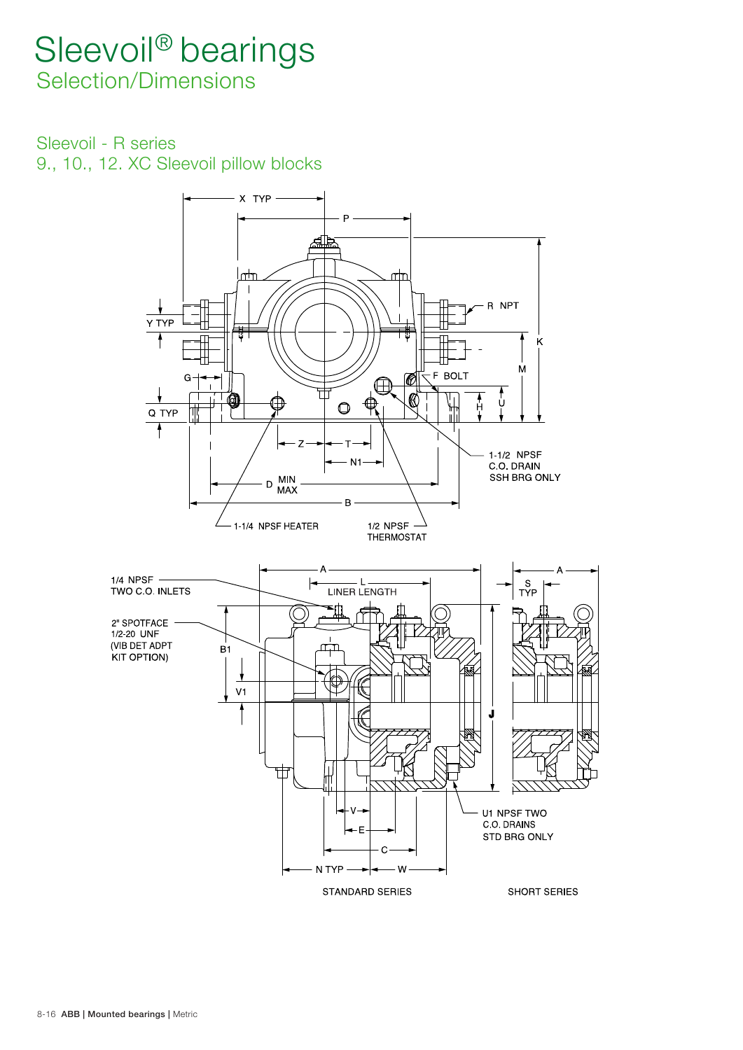Sleevoil - R series 9., 10., 12. XC Sleevoil pillow blocks

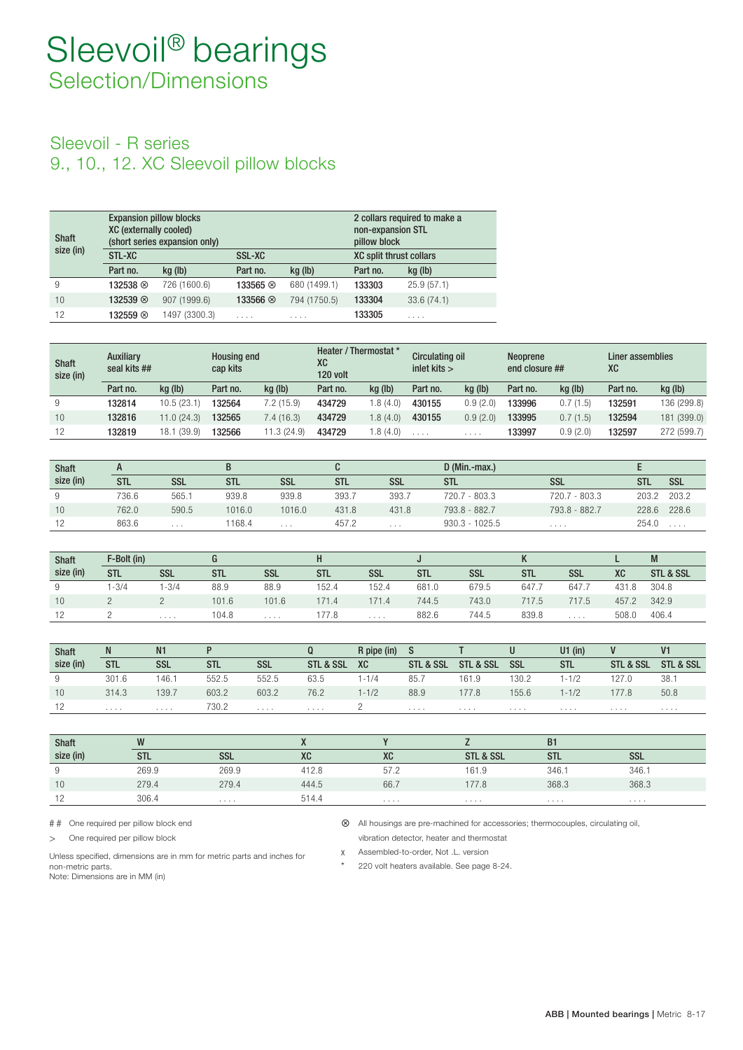### Sleevoil - R series 9., 10., 12. XC Sleevoil pillow blocks

| <b>Shaft</b> | <b>Expansion pillow blocks</b><br><b>XC (externally cooled)</b> | (short series expansion only) |                  |              | non-expansion STL<br>pillow block | 2 collars required to make a |
|--------------|-----------------------------------------------------------------|-------------------------------|------------------|--------------|-----------------------------------|------------------------------|
| size (in)    | STL-XC                                                          |                               | <b>SSL-XC</b>    |              | <b>XC split thrust collars</b>    |                              |
|              | Part no.                                                        | kg (lb)                       | Part no.         | kg (lb)      | Part no.                          | kg (lb)                      |
| 9            | 132538 8                                                        | 726 (1600.6)                  | 133565 $\otimes$ | 680 (1499.1) | 133303                            | 25.9(57.1)                   |
| 10           | 132539 $\otimes$                                                | 907 (1999.6)                  | 133566 ⊗         | 794 (1750.5) | 133304                            | 33.6(74.1)                   |
| 12           | 132559 8                                                        | 1497 (3300.3)                 | .                | .            | 133305                            | .                            |

| <b>Shaft</b><br>size (in) | <b>Auxiliary</b><br>seal kits ## |                |          | <b>Housing end</b><br>cap kits |          | Heater / Thermostat *<br><b>XC</b><br>120 volt |          | Circulating oil<br>inlet kits $>$ |          | end closure ## | Liner assemblies<br><b>XC</b> |             |
|---------------------------|----------------------------------|----------------|----------|--------------------------------|----------|------------------------------------------------|----------|-----------------------------------|----------|----------------|-------------------------------|-------------|
|                           | Part no.                         | kg (lb)        | Part no. | kg (lb)                        | Part no. | kg (lb)                                        | Part no. | kg (lb)                           | Part no. | kg (lb)        | Part no.                      | kg (lb)     |
| 9                         | 132814                           | 10.5 (23.1)    | 32564    | 7.2 (15.9)                     | 434729   | .8(4.0)                                        | 430155   | 0.9(2.0)                          | 133996   | 0.7(1.5)       | 132591                        | 136 (299.8) |
| 10                        | 132816                           | 11.0 (24.3)    | 132565   | .4(16.3)                       | 434729   | .8(4.0)                                        | 430155   | 0.9(2.0)                          | 133995   | 0.7(1.5)       | 132594                        | 181 (399.0) |
| 12                        | 132819                           | (39.9)<br>18.1 | 132566   | 1.3(24.9)                      | 434729   | .8(4.0)                                        | $\cdots$ | .                                 | 133997   | 0.9(2.0)       | 132597                        | 272 (599.7) |

| <b>Shaft</b> |       |          | В          |            |            |            | $D$ (Min.-max.)  |               |       |            |
|--------------|-------|----------|------------|------------|------------|------------|------------------|---------------|-------|------------|
| size (in)    | stl   | SSL      | <b>STL</b> | <b>SSL</b> | <b>STL</b> | <b>SSL</b> | <b>STL</b>       | <b>SSL</b>    | stl   | <b>SSL</b> |
| 9            | 736.6 | 565.1    | 939.8      | 939.8      | 393.7      | 393.7      | 720.7 - 803.3    | 720.7 - 803.3 | 203.2 | 203.2      |
| 10           | 762.0 | 590.5    | 1016.0     | 1016.0     | 431.8      | 431.8      | 793.8 - 882.7    | 793.8 - 882.7 | 228.6 | 228.6      |
|              | 863.6 | $\cdots$ | 168.4      | $\cdots$   | 457.2      | .          | $930.3 - 1025.5$ | .             | 254.0 | .          |

| <b>Shaft</b> | F-Bolt (in) |            | u          |            |            |            |            |            |            |            |           | <b>IVI</b>           |
|--------------|-------------|------------|------------|------------|------------|------------|------------|------------|------------|------------|-----------|----------------------|
| size (in)    | <b>STL</b>  | <b>SSL</b> | <b>STL</b> | <b>SSL</b> | <b>STL</b> | <b>SSL</b> | <b>STL</b> | <b>SSL</b> | <b>STL</b> | <b>SSL</b> | <b>XC</b> | <b>STL &amp; SSL</b> |
| 9            | $1 - 3/4$   | $1 - 3/4$  | 88.9       | 88.9       | 152.4      | 152.4      | 681.0      | 679.5      | 647.7      | 647.       | 431.8     | 304.8                |
| 10           |             |            | 101.6      | 101.6      | 171.4      | 171.4      | 744.5      | 743.0      | 717.5      | 717.5      | 457.2     | 342.9                |
| 12           |             | .          | 104.8      |            | ،77.8      |            | 882.6      | 744.5      | 839.8      | 1.1.1.1    | 508.0     | 406.4                |

| <b>Shaft</b> | N              | N <sub>1</sub>              |            |                |                                           | R pipe (in) |           |           |            | $U1$ (in)  | $\mathbf{V}$ | V1                   |
|--------------|----------------|-----------------------------|------------|----------------|-------------------------------------------|-------------|-----------|-----------|------------|------------|--------------|----------------------|
| size (in)    | <b>STL</b>     | <b>SSL</b>                  | <b>STL</b> | <b>SSL</b>     | <b>STL &amp; SSL</b>                      | XC          | STL & SSL | STL & SSL | <b>SSL</b> | <b>STL</b> | STL & SSL    | <b>STL &amp; SSL</b> |
| 9            | 301.6          | 146.1                       | 552.5      | 552.5          | 63.5                                      | $1 - 1/4$   | 85.7      | 161.9     | 130.2      | $1 - 1/2$  | 127.0        | 38.                  |
| 10           | 314.3          | 139.7                       | 603.2      | 603.2          | 76.2                                      | $1 - 1/2$   | 88.9      | 177.8     | 155.6      | $1 - 1/2$  | 177.8        | 50.8                 |
| 12           | <b>Service</b> | $\sim$ $\sim$ $\sim$ $\sim$ | 730.2      | <b>Service</b> | $\alpha$ , $\alpha$ , $\alpha$ , $\alpha$ |             | $\cdots$  | .         | .          | .          | .            | .                    |

| Shaft          | W          |            |           |           |                      | <b>B1</b>  |            |
|----------------|------------|------------|-----------|-----------|----------------------|------------|------------|
| size (in)      | <b>STL</b> | <b>SSL</b> | <b>XC</b> | <b>XC</b> | <b>STL &amp; SSL</b> | <b>STL</b> | <b>SSL</b> |
|                | 269.9      | 269.9      | 412.8     | 57.2      | 161.9                | 346.1      | 346.1      |
| 10             | 279.4      | 279.4      | 444.5     | 66.7      | 177.8                | 368.3      | 368.3      |
| $\overline{1}$ | 306.4      |            | 514.4     | .         | .                    | .          | .          |

Unless specified, dimensions are in mm for metric parts and inches for non-metric parts.

# One required per pillow block end  $\otimes$  All housings are pre-machined for accessories; thermocouples, circulating oil, > One required per pillow block vibration detector, heater and thermostat

x Assembled-to-order, Not .L . version

220 volt heaters available. See page 8-24.

Note: Dimensions are in MM (in)

ABB | Mounted bearings | Metric 8-17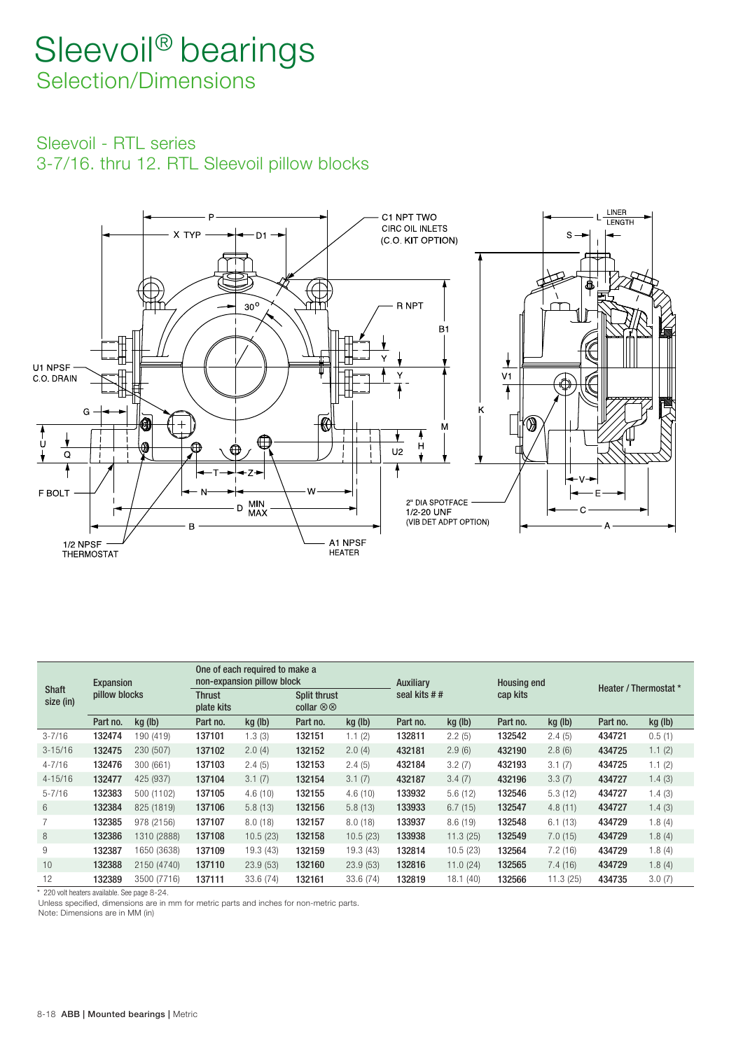Sleevoil - RTL series 3-7/16 . thru 12 . RTL Sleevoil pillow blocks



|                           |               | Expansion   |                             | One of each required to make a<br>non-expansion pillow block |                                          |           |              | Auxiliary |          | <b>Housing end</b> | Heater / Thermostat * |         |
|---------------------------|---------------|-------------|-----------------------------|--------------------------------------------------------------|------------------------------------------|-----------|--------------|-----------|----------|--------------------|-----------------------|---------|
| <b>Shaft</b><br>size (in) | pillow blocks |             | <b>Thrust</b><br>plate kits |                                                              | Split thrust<br>collar $\otimes \otimes$ |           | seal kits ## |           | cap kits |                    |                       |         |
|                           | Part no.      | kg (lb)     | Part no.                    | kg (lb)                                                      | Part no.                                 | kg (lb)   | Part no.     | kg (lb)   | Part no. | kg (lb)            | Part no.              | kg (lb) |
| $3 - 7/16$                | 132474        | 190 (419)   | 137101                      | 1.3(3)                                                       | 132151                                   | 1.1(2)    | 132811       | 2.2(5)    | 132542   | 2.4(5)             | 434721                | 0.5(1)  |
| $3 - 15/16$               | 132475        | 230 (507)   | 137102                      | 2.0(4)                                                       | 132152                                   | 2.0(4)    | 432181       | 2.9(6)    | 432190   | 2.8(6)             | 434725                | 1.1(2)  |
| $4 - 7/16$                | 132476        | 300 (661)   | 137103                      | 2.4(5)                                                       | 132153                                   | 2.4(5)    | 432184       | 3.2(7)    | 432193   | 3.1(7)             | 434725                | 1.1(2)  |
| $4 - 15/16$               | 132477        | 425 (937)   | 137104                      | 3.1(7)                                                       | 132154                                   | 3.1(7)    | 432187       | 3.4(7)    | 432196   | 3.3(7)             | 434727                | 1.4(3)  |
| $5 - 7/16$                | 132383        | 500 (1102)  | 137105                      | 4.6(10)                                                      | 132155                                   | 4.6(10)   | 133932       | 5.6(12)   | 132546   | 5.3(12)            | 434727                | 1.4(3)  |
| 6                         | 132384        | 825 (1819)  | 137106                      | 5.8(13)                                                      | 132156                                   | 5.8(13)   | 133933       | 6.7(15)   | 132547   | 4.8(11)            | 434727                | 1.4(3)  |
| 7                         | 132385        | 978 (2156)  | 137107                      | 8.0(18)                                                      | 132157                                   | 8.0(18)   | 133937       | 8.6(19)   | 132548   | 6.1(13)            | 434729                | 1.8(4)  |
| 8                         | 132386        | 1310 (2888) | 137108                      | 10.5(23)                                                     | 132158                                   | 10.5(23)  | 133938       | 11.3(25)  | 132549   | 7.0(15)            | 434729                | 1.8(4)  |
| 9                         | 132387        | 1650 (3638) | 137109                      | 19.3(43)                                                     | 132159                                   | 19.3(43)  | 132814       | 10.5(23)  | 132564   | 7.2(16)            | 434729                | 1.8(4)  |
| 10                        | 132388        | 2150 (4740) | 137110                      | 23.9(53)                                                     | 132160                                   | 23.9(53)  | 132816       | 11.0(24)  | 132565   | 7.4(16)            | 434729                | 1.8(4)  |
| 12                        | 132389        | 3500 (7716) | 137111                      | 33.6 (74)                                                    | 132161                                   | 33.6 (74) | 132819       | 18.1(40)  | 132566   | 11.3(25)           | 434735                | 3.0(7)  |

\* 220 volt heaters available. See page 8-24.

Unless specified, dimensions are in mm for metric parts and inches for non-metric parts.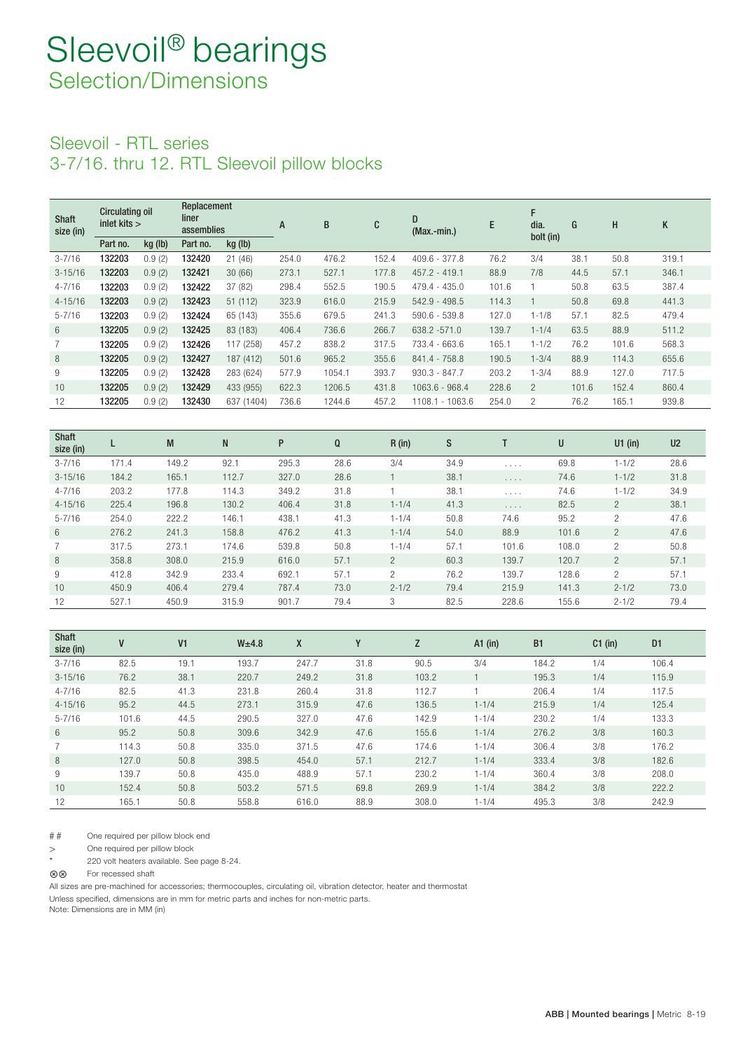### Sleevoil - RTL series 3-7/16 . thru 12 . RTL Sleevoil pillow blocks

| <b>Shaft</b><br>size (in) | <b>Circulating oil</b><br>inlet kits $>$ |         | Replacement<br>liner<br>assemblies |            | A     | B      | C     | D<br>$(Max.-min.)$ | E     | F<br>dia.<br>bolt (in) | G     | н     | K     |
|---------------------------|------------------------------------------|---------|------------------------------------|------------|-------|--------|-------|--------------------|-------|------------------------|-------|-------|-------|
|                           | Part no.                                 | kg (lb) | Part no.                           | kg (lb)    |       |        |       |                    |       |                        |       |       |       |
| $3 - 7/16$                | 132203                                   | 0.9(2)  | 132420                             | 21(46)     | 254.0 | 476.2  | 152.4 | $409.6 - 377.8$    | 76.2  | 3/4                    | 38.1  | 50.8  | 319.1 |
| $3 - 15/16$               | 132203                                   | 0.9(2)  | 132421                             | 30(66)     | 273.1 | 527.1  | 177.8 | 457.2 - 419.1      | 88.9  | 7/8                    | 44.5  | 57.1  | 346.1 |
| $4 - 7/16$                | 132203                                   | 0.9(2)  | 132422                             | 37 (82)    | 298.4 | 552.5  | 190.5 | $479.4 - 435.0$    | 101.6 |                        | 50.8  | 63.5  | 387.4 |
| $4 - 15/16$               | 132203                                   | 0.9(2)  | 132423                             | 51(112)    | 323.9 | 616.0  | 215.9 | $542.9 - 498.5$    | 114.3 |                        | 50.8  | 69.8  | 441.3 |
| $5 - 7/16$                | 132203                                   | 0.9(2)  | 132424                             | 65 (143)   | 355.6 | 679.5  | 241.3 | $590.6 - 539.8$    | 127.0 | $1 - 1/8$              | 57.1  | 82.5  | 479.4 |
| 6                         | 132205                                   | 0.9(2)  | 132425                             | 83 (183)   | 406.4 | 736.6  | 266.7 | 638.2 -571.0       | 139.7 | $1 - 1/4$              | 63.5  | 88.9  | 511.2 |
|                           | 132205                                   | 0.9(2)  | 132426                             | 117 (258)  | 457.2 | 838.2  | 317.5 | 733.4 - 663.6      | 165.1 | $1 - 1/2$              | 76.2  | 101.6 | 568.3 |
| 8                         | 132205                                   | 0.9(2)  | 132427                             | 187 (412)  | 501.6 | 965.2  | 355.6 | 841.4 - 758.8      | 190.5 | $1 - 3/4$              | 88.9  | 114.3 | 655.6 |
| 9                         | 132205                                   | 0.9(2)  | 132428                             | 283 (624)  | 577.9 | 1054.1 | 393.7 | $930.3 - 847.7$    | 203.2 | $1 - 3/4$              | 88.9  | 127.0 | 717.5 |
| 10                        | 132205                                   | 0.9(2)  | 132429                             | 433 (955)  | 622.3 | 1206.5 | 431.8 | $1063.6 - 968.4$   | 228.6 | $\overline{2}$         | 101.6 | 152.4 | 860.4 |
| 12                        | 132205                                   | 0.9(2)  | 132430                             | 637 (1404) | 736.6 | 1244.6 | 457.2 | 1108.1 - 1063.6    | 254.0 | 2                      | 76.2  | 165.1 | 939.8 |

| <b>Shaft</b><br>size (in) |       | M     | N     | P     | Q    | $R$ (in)       | S    |                                           | U     | $U1$ (in)      | U <sub>2</sub> |
|---------------------------|-------|-------|-------|-------|------|----------------|------|-------------------------------------------|-------|----------------|----------------|
| $3 - 7/16$                | 171.4 | 149.2 | 92.1  | 295.3 | 28.6 | 3/4            | 34.9 | 1.1.1.1                                   | 69.8  | $1 - 1/2$      | 28.6           |
| $3 - 15/16$               | 184.2 | 165.1 | 112.7 | 327.0 | 28.6 |                | 38.1 | $\alpha$ , $\alpha$ , $\alpha$            | 74.6  | $1 - 1/2$      | 31.8           |
| $4 - 7/16$                | 203.2 | 177.8 | 114.3 | 349.2 | 31.8 |                | 38.1 | $\alpha$ , $\alpha$ , $\alpha$ , $\alpha$ | 74.6  | $1 - 1/2$      | 34.9           |
| $4 - 15/16$               | 225.4 | 196.8 | 130.2 | 406.4 | 31.8 | $1 - 1/4$      | 41.3 | $\alpha$ , $\alpha$ , $\alpha$ , $\alpha$ | 82.5  | $\overline{2}$ | 38.1           |
| $5 - 7/16$                | 254.0 | 222.2 | 146.1 | 438.1 | 41.3 | $1 - 1/4$      | 50.8 | 74.6                                      | 95.2  | 2              | 47.6           |
| 6                         | 276.2 | 241.3 | 158.8 | 476.2 | 41.3 | $1 - 1/4$      | 54.0 | 88.9                                      | 101.6 | $\overline{2}$ | 47.6           |
| $\overline{7}$            | 317.5 | 273.1 | 174.6 | 539.8 | 50.8 | $1 - 1/4$      | 57.1 | 101.6                                     | 108.0 | 2              | 50.8           |
| 8                         | 358.8 | 308.0 | 215.9 | 616.0 | 57.1 | $\overline{2}$ | 60.3 | 139.7                                     | 120.7 | $\overline{2}$ | 57.1           |
| 9                         | 412.8 | 342.9 | 233.4 | 692.1 | 57.1 | 2              | 76.2 | 139.7                                     | 128.6 | $\overline{2}$ | 57.1           |
| 10                        | 450.9 | 406.4 | 279.4 | 787.4 | 73.0 | $2 - 1/2$      | 79.4 | 215.9                                     | 141.3 | $2 - 1/2$      | 73.0           |
| 12                        | 527.1 | 450.9 | 315.9 | 901.7 | 79.4 | 3              | 82.5 | 228.6                                     | 155.6 | $2 - 1/2$      | 79.4           |

| <b>Shaft</b><br>size (in) | V     | V <sub>1</sub> | W <sub>±</sub> 4.8 | X     | Υ    | Z     | $A1$ (in) | <b>B1</b> | $C1$ (in) | D <sub>1</sub> |
|---------------------------|-------|----------------|--------------------|-------|------|-------|-----------|-----------|-----------|----------------|
| $3 - 7/16$                | 82.5  | 19.1           | 193.7              | 247.7 | 31.8 | 90.5  | 3/4       | 184.2     | 1/4       | 106.4          |
| $3 - 15/16$               | 76.2  | 38.1           | 220.7              | 249.2 | 31.8 | 103.2 |           | 195.3     | 1/4       | 115.9          |
| $4 - 7/16$                | 82.5  | 41.3           | 231.8              | 260.4 | 31.8 | 112.7 |           | 206.4     | 1/4       | 117.5          |
| $4 - 15/16$               | 95.2  | 44.5           | 273.1              | 315.9 | 47.6 | 136.5 | $1 - 1/4$ | 215.9     | 1/4       | 125.4          |
| $5 - 7/16$                | 101.6 | 44.5           | 290.5              | 327.0 | 47.6 | 142.9 | $1 - 1/4$ | 230.2     | 1/4       | 133.3          |
| $6\overline{6}$           | 95.2  | 50.8           | 309.6              | 342.9 | 47.6 | 155.6 | $1 - 1/4$ | 276.2     | 3/8       | 160.3          |
|                           | 114.3 | 50.8           | 335.0              | 371.5 | 47.6 | 174.6 | $1 - 1/4$ | 306.4     | 3/8       | 176.2          |
| 8                         | 127.0 | 50.8           | 398.5              | 454.0 | 57.1 | 212.7 | $1 - 1/4$ | 333.4     | 3/8       | 182.6          |
| 9                         | 139.7 | 50.8           | 435.0              | 488.9 | 57.1 | 230.2 | $1 - 1/4$ | 360.4     | 3/8       | 208.0          |
| 10                        | 152.4 | 50.8           | 503.2              | 571.5 | 69.8 | 269.9 | $1 - 1/4$ | 384.2     | 3/8       | 222.2          |
| 12                        | 165.1 | 50.8           | 558.8              | 616.0 | 88.9 | 308.0 | $1 - 1/4$ | 495.3     | 3/8       | 242.9          |

# # One required per pillow block end

> One required per pillow block<br>\* 220 volt heaters available. See

220 volt heaters available. See page 8-24.

For recessed shaft

All sizes are pre-machined for accessories; thermocouples, circulating oil, vibration detector, heater and thermostat

Unless specified, dimensions are in mm for metric parts and inches for non-metric parts.